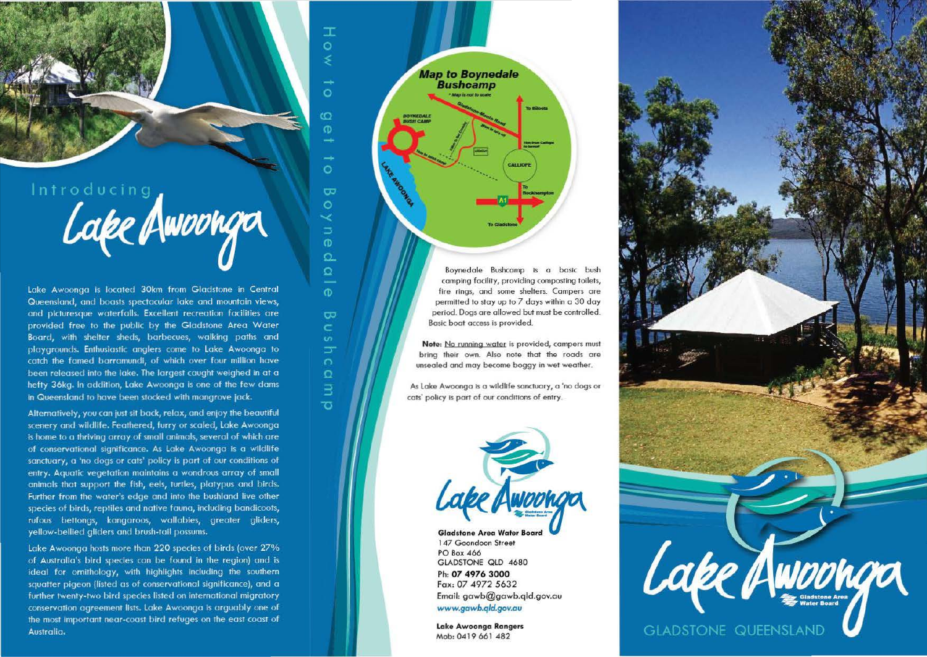Introducing<br>Cape Awounga

Lake Awoonga is located 30km from Gladstone in Central Queensland, and boasts spectacular lake and mountain views, and picturesque waterfalls. Excellent recreation facilities are provided free to the public by the Gladstone Area Water Board, with shelter sheds, barbecues, walking paths and playgrounds. Enthusiastic anglers come to Lake Awoonga to catch the famed barramundi, of which over four million have been released into the lake. The largest caught weighed in at a hefty 36kg. In addition, Lake Awoonga is one of the few dams in Queensland to have been stocked with mangrove jack.

Alternatively, you can just sit back, relax, and enjoy the beautiful scenery and wildlife. Feathered, furry or scaled, Lake Awoonga is home to a thriving array of small animals, several of which are of conservational significance. As Lake Awoonga is a wildlife sanctuary, a 'no dogs or cats' policy is part of our conditions of entry. Aquatic vegetation maintains a wondrous array of small animals that support the fish, eels, turtles, platypus and birds. Further from the water's edge and into the bushland live other species of birds, reptiles and native fauna, including bandicoots, rufous bettongs, kangaroos, wallabies, greater gliders, yellow-bellied gliders and brush-tail possums.

Lake Awoonga hosts more than 220 species of birds (over 27% of Australia's bird species can be found in the region) and is ideal for ornithology, with highlights including the southern squatter pigeon (listed as of conservational significance), and a further twenty-two bird species listed on international migratory conservation agreement lists. Lake Awoonga is arguably one of the most important near-coast bird refuges on the east coast of Australia.



 $\mathbb{T}$  $\circ$ 

 $\circ$ 

 $\overline{O}$  $\sigma$ 

шü

 $\circ$ 

 $\overline{\mathbf{z}}$  $\circ$ 

 $\Rightarrow$  $\sigma$  $\Omega$  $\Omega$ 

 $\sigma$ 

 $\overline{C}$ 

Ċ

కా

 $\Omega$ 

 $\exists$ 

ಕ

Boynedale Bushcamp is a basic bush camping facility, providing composting toilets, fire rings, and some shelters. Campers are permitted to stay up to 7 days within a 30 day period. Dogs are allowed but must be controlled. Basic boat access is provided.

**Note:** No running water is provided, campers must bring their own. Also note that the roads are unsealed and may become boggy in wet weather.

As lake Awoonga is a wildlife sanctuary, a 'no dogs or cats' policy is part of our conditions of entry.



**Gladstone Area Water Board** I 47 Goondoon Street PO Box 466 GLADSTONE QlD 4680 Ph: *07 4976* **3000**  Fox: 07 4972 5632 Email: gowb@gawb.qld.gov.ou *www.gawb.qld.gov.au* 

**lake Awoonga Rangers**  Mob: 0419 661 482